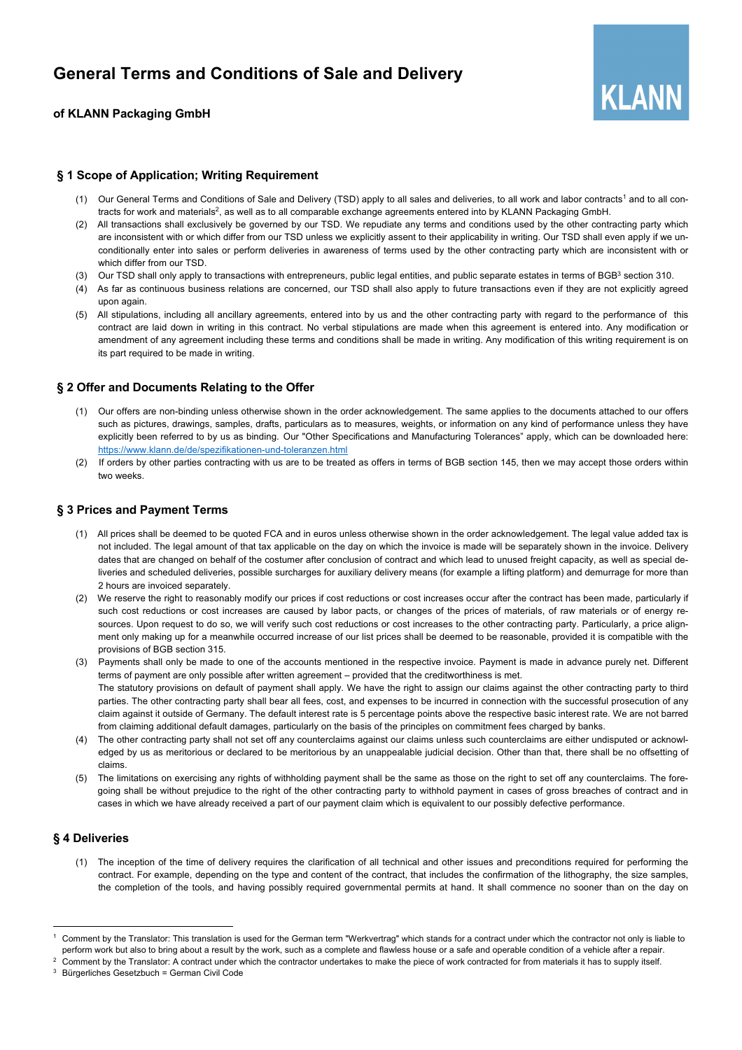

## **of KLANN Packaging GmbH**

### **§ 1 Scope of Application; Writing Requirement**

- (1) Our General Terms and Conditions of Sale and Delivery (TSD) apply to all sales and deliveries, to all work and labor contracts<sup>1</sup> and to all contracts for work and materials<sup>2</sup>, as well as to all comparable exchange agreements entered into by KLANN Packaging GmbH.
- (2) All transactions shall exclusively be governed by our TSD. We repudiate any terms and conditions used by the other contracting party which are inconsistent with or which differ from our TSD unless we explicitly assent to their applicability in writing. Our TSD shall even apply if we unconditionally enter into sales or perform deliveries in awareness of terms used by the other contracting party which are inconsistent with or which differ from our TSD.
- (3) Our TSD shall only apply to transactions with entrepreneurs, public legal entities, and public separate estates in terms of BGB3 section 310.
- (4) As far as continuous business relations are concerned, our TSD shall also apply to future transactions even if they are not explicitly agreed upon again.
- (5) All stipulations, including all ancillary agreements, entered into by us and the other contracting party with regard to the performance of this contract are laid down in writing in this contract. No verbal stipulations are made when this agreement is entered into. Any modification or amendment of any agreement including these terms and conditions shall be made in writing. Any modification of this writing requirement is on its part required to be made in writing.

### **§ 2 Offer and Documents Relating to the Offer**

- (1) Our offers are non-binding unless otherwise shown in the order acknowledgement. The same applies to the documents attached to our offers such as pictures, drawings, samples, drafts, particulars as to measures, weights, or information on any kind of performance unless they have explicitly been referred to by us as binding. Our "Other Specifications and Manufacturing Tolerances" apply, which can be downloaded here: https://www.klann.de/de/spezifikationen-und-toleranzen.html
- (2) If orders by other parties contracting with us are to be treated as offers in terms of BGB section 145, then we may accept those orders within two weeks.

### **§ 3 Prices and Payment Terms**

- (1) All prices shall be deemed to be quoted FCA and in euros unless otherwise shown in the order acknowledgement. The legal value added tax is not included. The legal amount of that tax applicable on the day on which the invoice is made will be separately shown in the invoice. Delivery dates that are changed on behalf of the costumer after conclusion of contract and which lead to unused freight capacity, as well as special deliveries and scheduled deliveries, possible surcharges for auxiliary delivery means (for example a lifting platform) and demurrage for more than 2 hours are invoiced separately.
- (2) We reserve the right to reasonably modify our prices if cost reductions or cost increases occur after the contract has been made, particularly if such cost reductions or cost increases are caused by labor pacts, or changes of the prices of materials, of raw materials or of energy resources. Upon request to do so, we will verify such cost reductions or cost increases to the other contracting party. Particularly, a price alignment only making up for a meanwhile occurred increase of our list prices shall be deemed to be reasonable, provided it is compatible with the provisions of BGB section 315.
- (3) Payments shall only be made to one of the accounts mentioned in the respective invoice. Payment is made in advance purely net. Different terms of payment are only possible after written agreement – provided that the creditworthiness is met. The statutory provisions on default of payment shall apply. We have the right to assign our claims against the other contracting party to third parties. The other contracting party shall bear all fees, cost, and expenses to be incurred in connection with the successful prosecution of any claim against it outside of Germany. The default interest rate is 5 percentage points above the respective basic interest rate. We are not barred from claiming additional default damages, particularly on the basis of the principles on commitment fees charged by banks.
- (4) The other contracting party shall not set off any counterclaims against our claims unless such counterclaims are either undisputed or acknowledged by us as meritorious or declared to be meritorious by an unappealable judicial decision. Other than that, there shall be no offsetting of claims.
- (5) The limitations on exercising any rights of withholding payment shall be the same as those on the right to set off any counterclaims. The foregoing shall be without prejudice to the right of the other contracting party to withhold payment in cases of gross breaches of contract and in cases in which we have already received a part of our payment claim which is equivalent to our possibly defective performance.

### **§ 4 Deliveries**

(1) The inception of the time of delivery requires the clarification of all technical and other issues and preconditions required for performing the contract. For example, depending on the type and content of the contract, that includes the confirmation of the lithography, the size samples, the completion of the tools, and having possibly required governmental permits at hand. It shall commence no sooner than on the day on

Comment by the Translator: This translation is used for the German term "Werkvertrag" which stands for a contract under which the contractor not only is liable to perform work but also to bring about a result by the work, such as a complete and flawless house or a safe and operable condition of a vehicle after a repair.

<sup>&</sup>lt;sup>2</sup> Comment by the Translator: A contract under which the contractor undertakes to make the piece of work contracted for from materials it has to supply itself.

<sup>3</sup> Bürgerliches Gesetzbuch = German Civil Code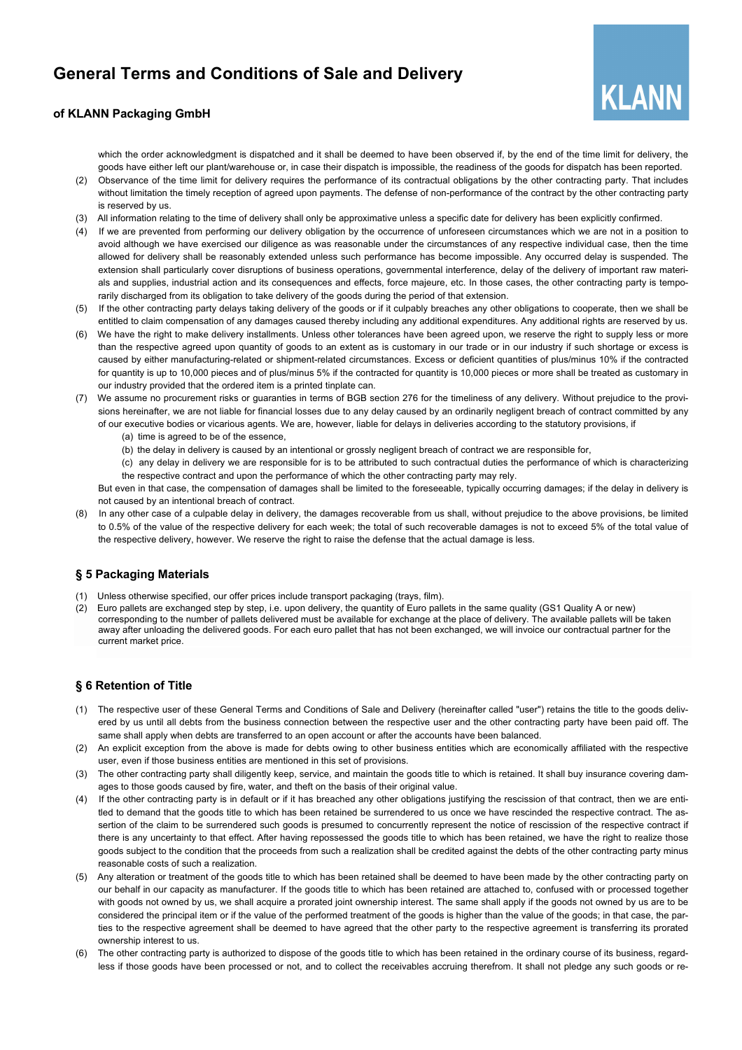

### **of KLANN Packaging GmbH**

which the order acknowledgment is dispatched and it shall be deemed to have been observed if, by the end of the time limit for delivery, the goods have either left our plant/warehouse or, in case their dispatch is impossible, the readiness of the goods for dispatch has been reported.

- (2) Observance of the time limit for delivery requires the performance of its contractual obligations by the other contracting party. That includes without limitation the timely reception of agreed upon payments. The defense of non-performance of the contract by the other contracting party is reserved by us.
- (3) All information relating to the time of delivery shall only be approximative unless a specific date for delivery has been explicitly confirmed.
- (4) If we are prevented from performing our delivery obligation by the occurrence of unforeseen circumstances which we are not in a position to avoid although we have exercised our diligence as was reasonable under the circumstances of any respective individual case, then the time allowed for delivery shall be reasonably extended unless such performance has become impossible. Any occurred delay is suspended. The extension shall particularly cover disruptions of business operations, governmental interference, delay of the delivery of important raw materials and supplies, industrial action and its consequences and effects, force majeure, etc. In those cases, the other contracting party is temporarily discharged from its obligation to take delivery of the goods during the period of that extension.
- (5) If the other contracting party delays taking delivery of the goods or if it culpably breaches any other obligations to cooperate, then we shall be entitled to claim compensation of any damages caused thereby including any additional expenditures. Any additional rights are reserved by us.
- (6) We have the right to make delivery installments. Unless other tolerances have been agreed upon, we reserve the right to supply less or more than the respective agreed upon quantity of goods to an extent as is customary in our trade or in our industry if such shortage or excess is caused by either manufacturing-related or shipment-related circumstances. Excess or deficient quantities of plus/minus 10% if the contracted for quantity is up to 10,000 pieces and of plus/minus 5% if the contracted for quantity is 10,000 pieces or more shall be treated as customary in our industry provided that the ordered item is a printed tinplate can.
- We assume no procurement risks or guaranties in terms of BGB section 276 for the timeliness of any delivery. Without prejudice to the provisions hereinafter, we are not liable for financial losses due to any delay caused by an ordinarily negligent breach of contract committed by any of our executive bodies or vicarious agents. We are, however, liable for delays in deliveries according to the statutory provisions, if
	- (a) time is agreed to be of the essence,
	- (b) the delay in delivery is caused by an intentional or grossly negligent breach of contract we are responsible for,
	- (c) any delay in delivery we are responsible for is to be attributed to such contractual duties the performance of which is characterizing the respective contract and upon the performance of which the other contracting party may rely.

But even in that case, the compensation of damages shall be limited to the foreseeable, typically occurring damages; if the delay in delivery is not caused by an intentional breach of contract.

(8) In any other case of a culpable delay in delivery, the damages recoverable from us shall, without prejudice to the above provisions, be limited to 0.5% of the value of the respective delivery for each week; the total of such recoverable damages is not to exceed 5% of the total value of the respective delivery, however. We reserve the right to raise the defense that the actual damage is less.

### **§ 5 Packaging Materials**

- (1) Unless otherwise specified, our offer prices include transport packaging (trays, film).
- Euro pallets are exchanged step by step, i.e. upon delivery, the quantity of Euro pallets in the same quality (GS1 Quality A or new) corresponding to the number of pallets delivered must be available for exchange at the place of delivery. The available pallets will be taken away after unloading the delivered goods. For each euro pallet that has not been exchanged, we will invoice our contractual partner for the current market price.

# **§ 6 Retention of Title**

- (1) The respective user of these General Terms and Conditions of Sale and Delivery (hereinafter called "user") retains the title to the goods delivered by us until all debts from the business connection between the respective user and the other contracting party have been paid off. The same shall apply when debts are transferred to an open account or after the accounts have been balanced.
- (2) An explicit exception from the above is made for debts owing to other business entities which are economically affiliated with the respective user, even if those business entities are mentioned in this set of provisions.
- (3) The other contracting party shall diligently keep, service, and maintain the goods title to which is retained. It shall buy insurance covering damages to those goods caused by fire, water, and theft on the basis of their original value.
- (4) If the other contracting party is in default or if it has breached any other obligations justifying the rescission of that contract, then we are entitled to demand that the goods title to which has been retained be surrendered to us once we have rescinded the respective contract. The assertion of the claim to be surrendered such goods is presumed to concurrently represent the notice of rescission of the respective contract if there is any uncertainty to that effect. After having repossessed the goods title to which has been retained, we have the right to realize those goods subject to the condition that the proceeds from such a realization shall be credited against the debts of the other contracting party minus reasonable costs of such a realization.
- (5) Any alteration or treatment of the goods title to which has been retained shall be deemed to have been made by the other contracting party on our behalf in our capacity as manufacturer. If the goods title to which has been retained are attached to, confused with or processed together with goods not owned by us, we shall acquire a prorated joint ownership interest. The same shall apply if the goods not owned by us are to be considered the principal item or if the value of the performed treatment of the goods is higher than the value of the goods; in that case, the parties to the respective agreement shall be deemed to have agreed that the other party to the respective agreement is transferring its prorated ownership interest to us.
- (6) The other contracting party is authorized to dispose of the goods title to which has been retained in the ordinary course of its business, regardless if those goods have been processed or not, and to collect the receivables accruing therefrom. It shall not pledge any such goods or re-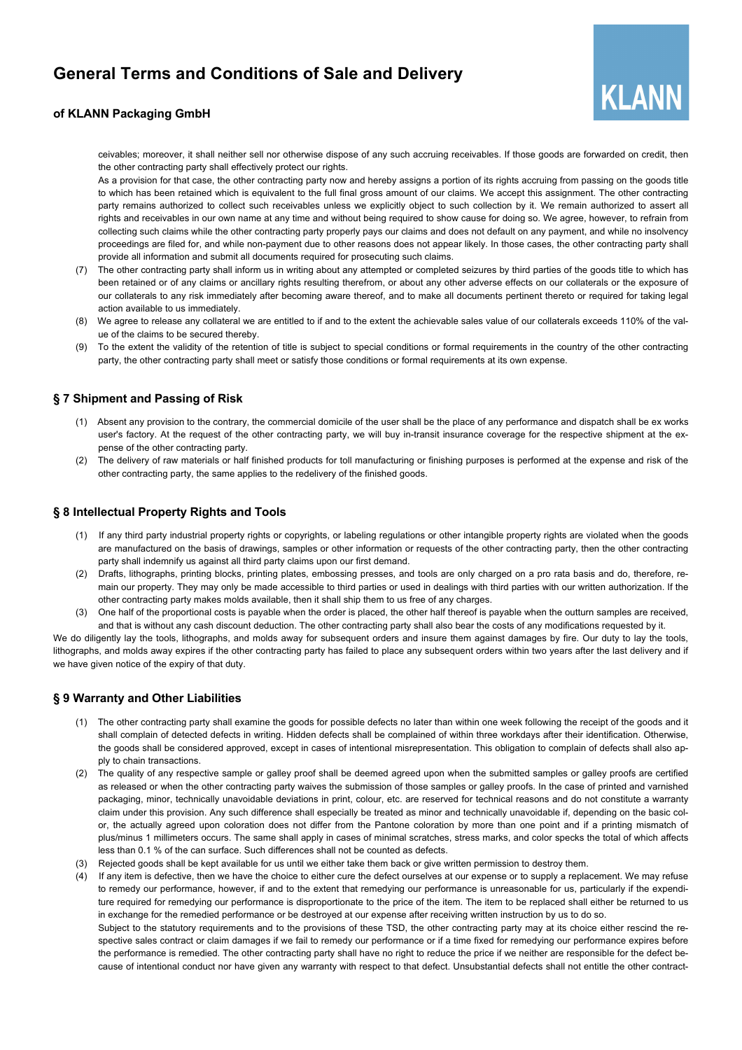

### **of KLANN Packaging GmbH**

ceivables; moreover, it shall neither sell nor otherwise dispose of any such accruing receivables. If those goods are forwarded on credit, then the other contracting party shall effectively protect our rights.

As a provision for that case, the other contracting party now and hereby assigns a portion of its rights accruing from passing on the goods title to which has been retained which is equivalent to the full final gross amount of our claims. We accept this assignment. The other contracting party remains authorized to collect such receivables unless we explicitly object to such collection by it. We remain authorized to assert all rights and receivables in our own name at any time and without being required to show cause for doing so. We agree, however, to refrain from collecting such claims while the other contracting party properly pays our claims and does not default on any payment, and while no insolvency proceedings are filed for, and while non-payment due to other reasons does not appear likely. In those cases, the other contracting party shall provide all information and submit all documents required for prosecuting such claims.

- (7) The other contracting party shall inform us in writing about any attempted or completed seizures by third parties of the goods title to which has been retained or of any claims or ancillary rights resulting therefrom, or about any other adverse effects on our collaterals or the exposure of our collaterals to any risk immediately after becoming aware thereof, and to make all documents pertinent thereto or required for taking legal action available to us immediately.
- (8) We agree to release any collateral we are entitled to if and to the extent the achievable sales value of our collaterals exceeds 110% of the value of the claims to be secured thereby.
- (9) To the extent the validity of the retention of title is subject to special conditions or formal requirements in the country of the other contracting party, the other contracting party shall meet or satisfy those conditions or formal requirements at its own expense.

# **§ 7 Shipment and Passing of Risk**

- (1) Absent any provision to the contrary, the commercial domicile of the user shall be the place of any performance and dispatch shall be ex works user's factory. At the request of the other contracting party, we will buy in-transit insurance coverage for the respective shipment at the expense of the other contracting party.
- (2) The delivery of raw materials or half finished products for toll manufacturing or finishing purposes is performed at the expense and risk of the other contracting party, the same applies to the redelivery of the finished goods.

### **§ 8 Intellectual Property Rights and Tools**

- (1) If any third party industrial property rights or copyrights, or labeling regulations or other intangible property rights are violated when the goods are manufactured on the basis of drawings, samples or other information or requests of the other contracting party, then the other contracting party shall indemnify us against all third party claims upon our first demand.
- Drafts, lithographs, printing blocks, printing plates, embossing presses, and tools are only charged on a pro rata basis and do, therefore, remain our property. They may only be made accessible to third parties or used in dealings with third parties with our written authorization. If the other contracting party makes molds available, then it shall ship them to us free of any charges.
- (3) One half of the proportional costs is payable when the order is placed, the other half thereof is payable when the outturn samples are received, and that is without any cash discount deduction. The other contracting party shall also bear the costs of any modifications requested by it.

We do diligently lay the tools, lithographs, and molds away for subsequent orders and insure them against damages by fire. Our duty to lay the tools, lithographs, and molds away expires if the other contracting party has failed to place any subsequent orders within two years after the last delivery and if we have given notice of the expiry of that duty.

### **§ 9 Warranty and Other Liabilities**

- (1) The other contracting party shall examine the goods for possible defects no later than within one week following the receipt of the goods and it shall complain of detected defects in writing. Hidden defects shall be complained of within three workdays after their identification. Otherwise, the goods shall be considered approved, except in cases of intentional misrepresentation. This obligation to complain of defects shall also apply to chain transactions.
- (2) The quality of any respective sample or galley proof shall be deemed agreed upon when the submitted samples or galley proofs are certified as released or when the other contracting party waives the submission of those samples or galley proofs. In the case of printed and varnished packaging, minor, technically unavoidable deviations in print, colour, etc. are reserved for technical reasons and do not constitute a warranty claim under this provision. Any such difference shall especially be treated as minor and technically unavoidable if, depending on the basic color, the actually agreed upon coloration does not differ from the Pantone coloration by more than one point and if a printing mismatch of plus/minus 1 millimeters occurs. The same shall apply in cases of minimal scratches, stress marks, and color specks the total of which affects less than 0.1 % of the can surface. Such differences shall not be counted as defects.
- (3) Rejected goods shall be kept available for us until we either take them back or give written permission to destroy them.
- (4) If any item is defective, then we have the choice to either cure the defect ourselves at our expense or to supply a replacement. We may refuse to remedy our performance, however, if and to the extent that remedying our performance is unreasonable for us, particularly if the expenditure required for remedying our performance is disproportionate to the price of the item. The item to be replaced shall either be returned to us in exchange for the remedied performance or be destroyed at our expense after receiving written instruction by us to do so. Subject to the statutory requirements and to the provisions of these TSD, the other contracting party may at its choice either rescind the respective sales contract or claim damages if we fail to remedy our performance or if a time fixed for remedying our performance expires before the performance is remedied. The other contracting party shall have no right to reduce the price if we neither are responsible for the defect because of intentional conduct nor have given any warranty with respect to that defect. Unsubstantial defects shall not entitle the other contract-